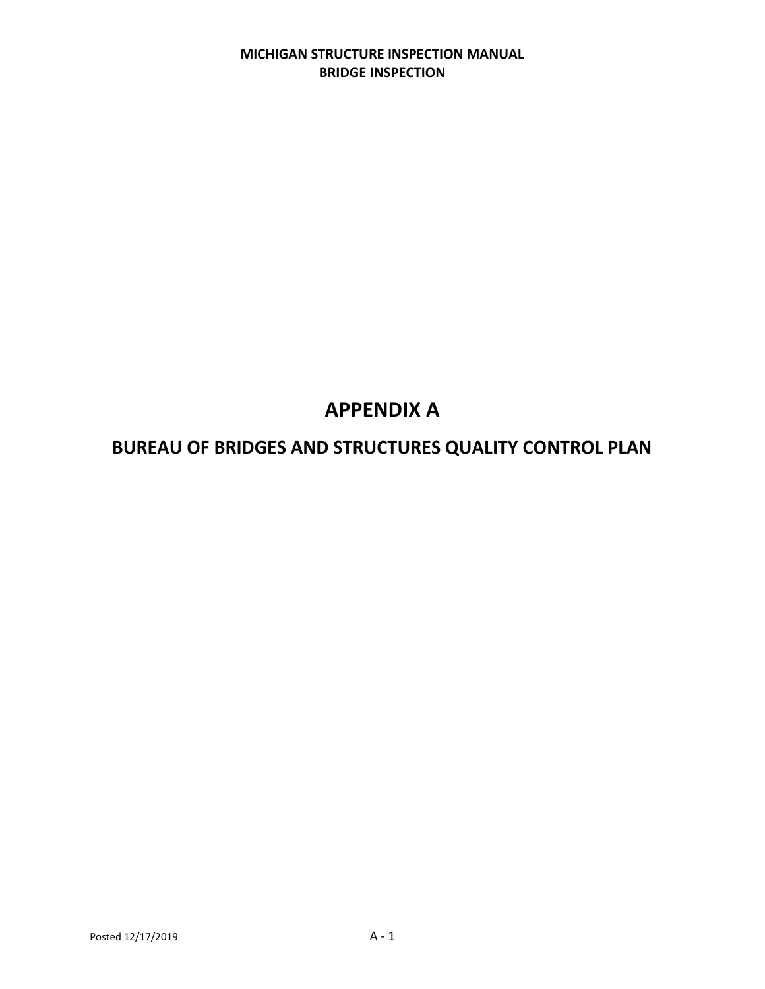# **MICHIGAN STRUCTURE INSPECTION MANUAL BRIDGE INSPECTION**

# **APPENDIX A**

# **BUREAU OF BRIDGES AND STRUCTURES QUALITY CONTROL PLAN**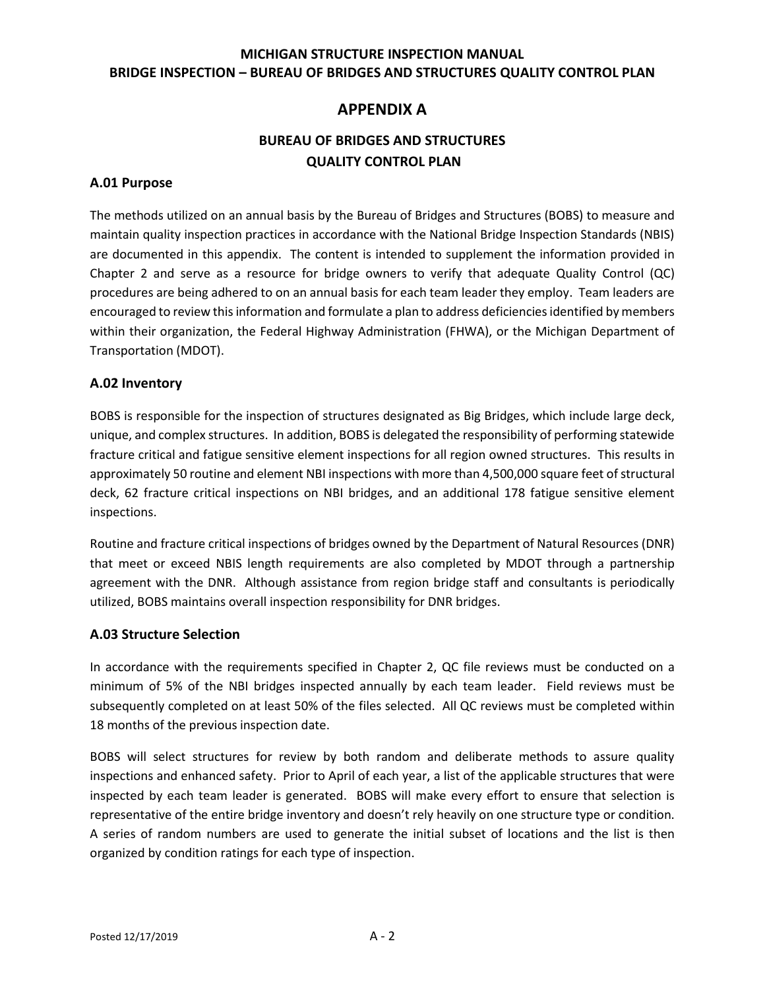# **MICHIGAN STRUCTURE INSPECTION MANUAL BRIDGE INSPECTION – BUREAU OF BRIDGES AND STRUCTURES QUALITY CONTROL PLAN**

# **APPENDIX A**

# **BUREAU OF BRIDGES AND STRUCTURES QUALITY CONTROL PLAN**

#### **A.01 Purpose**

The methods utilized on an annual basis by the Bureau of Bridges and Structures (BOBS) to measure and maintain quality inspection practices in accordance with the National Bridge Inspection Standards (NBIS) are documented in this appendix. The content is intended to supplement the information provided in Chapter 2 and serve as a resource for bridge owners to verify that adequate Quality Control (QC) procedures are being adhered to on an annual basis for each team leader they employ. Team leaders are encouraged to review this information and formulate a plan to address deficiencies identified by members within their organization, the Federal Highway Administration (FHWA), or the Michigan Department of Transportation (MDOT).

#### **A.02 Inventory**

BOBS is responsible for the inspection of structures designated as Big Bridges, which include large deck, unique, and complex structures. In addition, BOBS is delegated the responsibility of performing statewide fracture critical and fatigue sensitive element inspections for all region owned structures. This results in approximately 50 routine and element NBI inspections with more than 4,500,000 square feet of structural deck, 62 fracture critical inspections on NBI bridges, and an additional 178 fatigue sensitive element inspections.

Routine and fracture critical inspections of bridges owned by the Department of Natural Resources (DNR) that meet or exceed NBIS length requirements are also completed by MDOT through a partnership agreement with the DNR. Although assistance from region bridge staff and consultants is periodically utilized, BOBS maintains overall inspection responsibility for DNR bridges.

# **A.03 Structure Selection**

In accordance with the requirements specified in Chapter 2, QC file reviews must be conducted on a minimum of 5% of the NBI bridges inspected annually by each team leader. Field reviews must be subsequently completed on at least 50% of the files selected. All QC reviews must be completed within 18 months of the previous inspection date.

BOBS will select structures for review by both random and deliberate methods to assure quality inspections and enhanced safety. Prior to April of each year, a list of the applicable structures that were inspected by each team leader is generated. BOBS will make every effort to ensure that selection is representative of the entire bridge inventory and doesn't rely heavily on one structure type or condition. A series of random numbers are used to generate the initial subset of locations and the list is then organized by condition ratings for each type of inspection.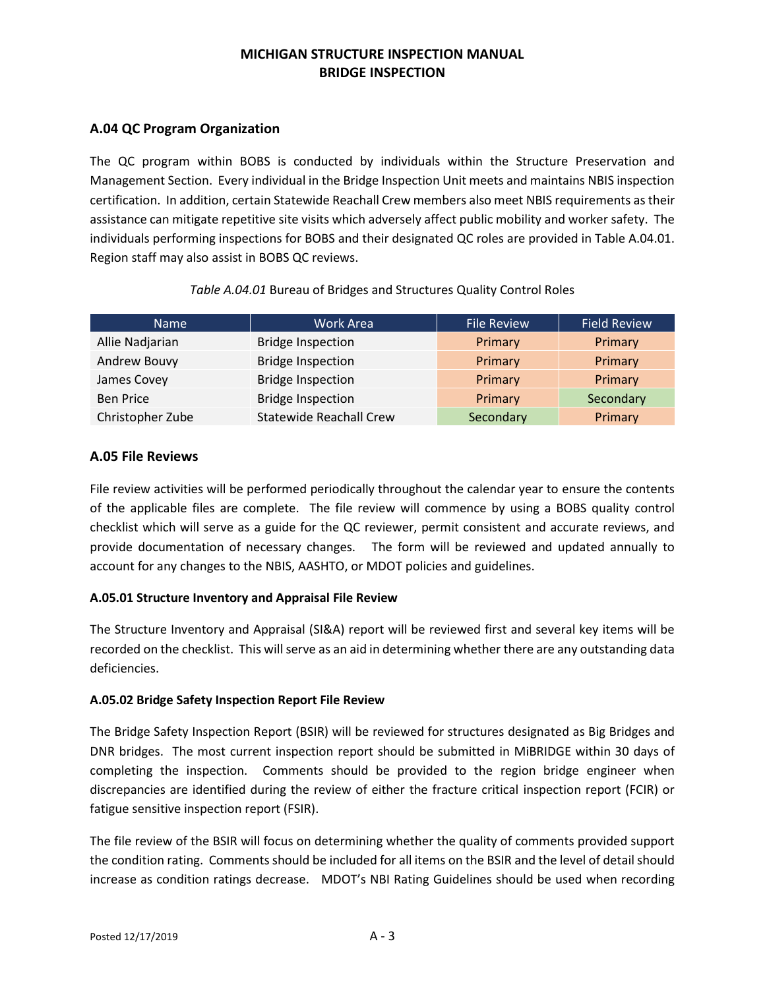# **MICHIGAN STRUCTURE INSPECTION MANUAL BRIDGE INSPECTION**

# **A.04 QC Program Organization**

The QC program within BOBS is conducted by individuals within the Structure Preservation and Management Section. Every individual in the Bridge Inspection Unit meets and maintains NBIS inspection certification. In addition, certain Statewide Reachall Crew members also meet NBIS requirements as their assistance can mitigate repetitive site visits which adversely affect public mobility and worker safety. The individuals performing inspections for BOBS and their designated QC roles are provided in Table A.04.01. Region staff may also assist in BOBS QC reviews.

| <b>Name</b>      | Work Area                      | <b>File Review</b> | <b>Field Review</b> |
|------------------|--------------------------------|--------------------|---------------------|
| Allie Nadjarian  | <b>Bridge Inspection</b>       | Primary            | Primary             |
| Andrew Bouvy     | <b>Bridge Inspection</b>       | Primary            | Primary             |
| James Covey      | <b>Bridge Inspection</b>       | Primary            | Primary             |
| <b>Ben Price</b> | <b>Bridge Inspection</b>       | Primary            | Secondary           |
| Christopher Zube | <b>Statewide Reachall Crew</b> | Secondary          | Primary             |

#### *Table A.04.01* Bureau of Bridges and Structures Quality Control Roles

# **A.05 File Reviews**

File review activities will be performed periodically throughout the calendar year to ensure the contents of the applicable files are complete. The file review will commence by using a BOBS quality control checklist which will serve as a guide for the QC reviewer, permit consistent and accurate reviews, and provide documentation of necessary changes. The form will be reviewed and updated annually to account for any changes to the NBIS, AASHTO, or MDOT policies and guidelines.

#### **A.05.01 Structure Inventory and Appraisal File Review**

The Structure Inventory and Appraisal (SI&A) report will be reviewed first and several key items will be recorded on the checklist. This will serve as an aid in determining whether there are any outstanding data deficiencies.

#### **A.05.02 Bridge Safety Inspection Report File Review**

The Bridge Safety Inspection Report (BSIR) will be reviewed for structures designated as Big Bridges and DNR bridges. The most current inspection report should be submitted in MiBRIDGE within 30 days of completing the inspection. Comments should be provided to the region bridge engineer when discrepancies are identified during the review of either the fracture critical inspection report (FCIR) or fatigue sensitive inspection report (FSIR).

The file review of the BSIR will focus on determining whether the quality of comments provided support the condition rating. Comments should be included for all items on the BSIR and the level of detail should increase as condition ratings decrease. MDOT's NBI Rating Guidelines should be used when recording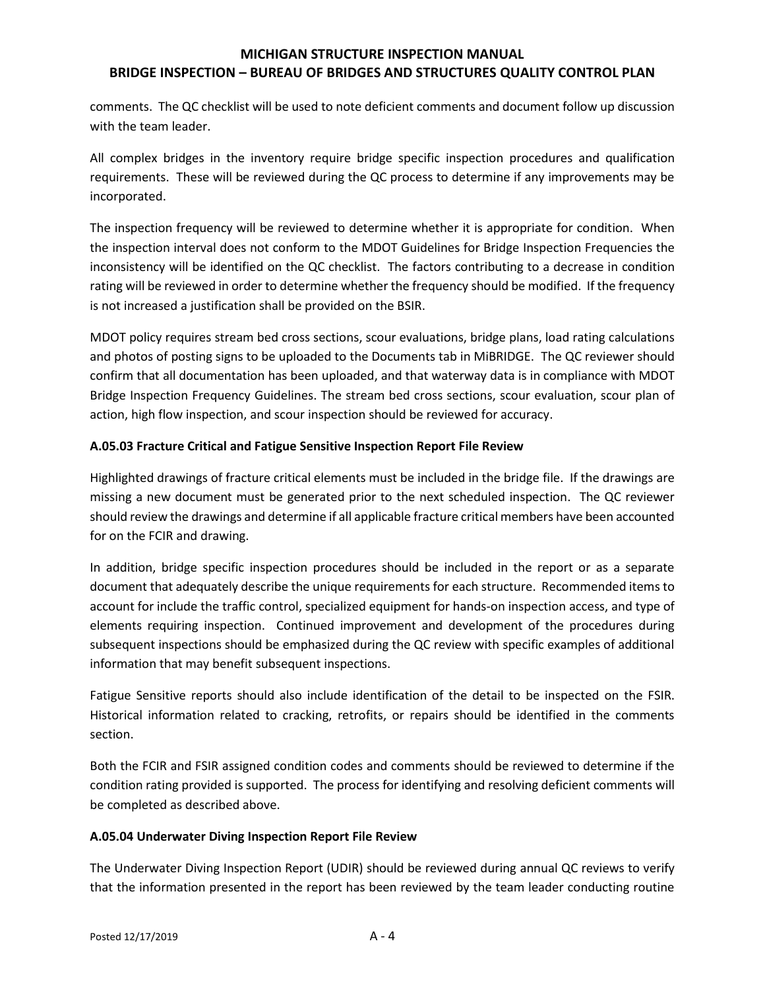# **MICHIGAN STRUCTURE INSPECTION MANUAL BRIDGE INSPECTION – BUREAU OF BRIDGES AND STRUCTURES QUALITY CONTROL PLAN**

comments. The QC checklist will be used to note deficient comments and document follow up discussion with the team leader.

All complex bridges in the inventory require bridge specific inspection procedures and qualification requirements. These will be reviewed during the QC process to determine if any improvements may be incorporated.

The inspection frequency will be reviewed to determine whether it is appropriate for condition. When the inspection interval does not conform to the MDOT Guidelines for Bridge Inspection Frequencies the inconsistency will be identified on the QC checklist. The factors contributing to a decrease in condition rating will be reviewed in order to determine whether the frequency should be modified. If the frequency is not increased a justification shall be provided on the BSIR.

MDOT policy requires stream bed cross sections, scour evaluations, bridge plans, load rating calculations and photos of posting signs to be uploaded to the Documents tab in MiBRIDGE. The QC reviewer should confirm that all documentation has been uploaded, and that waterway data is in compliance with MDOT Bridge Inspection Frequency Guidelines. The stream bed cross sections, scour evaluation, scour plan of action, high flow inspection, and scour inspection should be reviewed for accuracy.

# **A.05.03 Fracture Critical and Fatigue Sensitive Inspection Report File Review**

Highlighted drawings of fracture critical elements must be included in the bridge file. If the drawings are missing a new document must be generated prior to the next scheduled inspection. The QC reviewer should review the drawings and determine if all applicable fracture critical members have been accounted for on the FCIR and drawing.

In addition, bridge specific inspection procedures should be included in the report or as a separate document that adequately describe the unique requirements for each structure. Recommended items to account for include the traffic control, specialized equipment for hands-on inspection access, and type of elements requiring inspection. Continued improvement and development of the procedures during subsequent inspections should be emphasized during the QC review with specific examples of additional information that may benefit subsequent inspections.

Fatigue Sensitive reports should also include identification of the detail to be inspected on the FSIR. Historical information related to cracking, retrofits, or repairs should be identified in the comments section.

Both the FCIR and FSIR assigned condition codes and comments should be reviewed to determine if the condition rating provided is supported. The process for identifying and resolving deficient comments will be completed as described above.

#### **A.05.04 Underwater Diving Inspection Report File Review**

The Underwater Diving Inspection Report (UDIR) should be reviewed during annual QC reviews to verify that the information presented in the report has been reviewed by the team leader conducting routine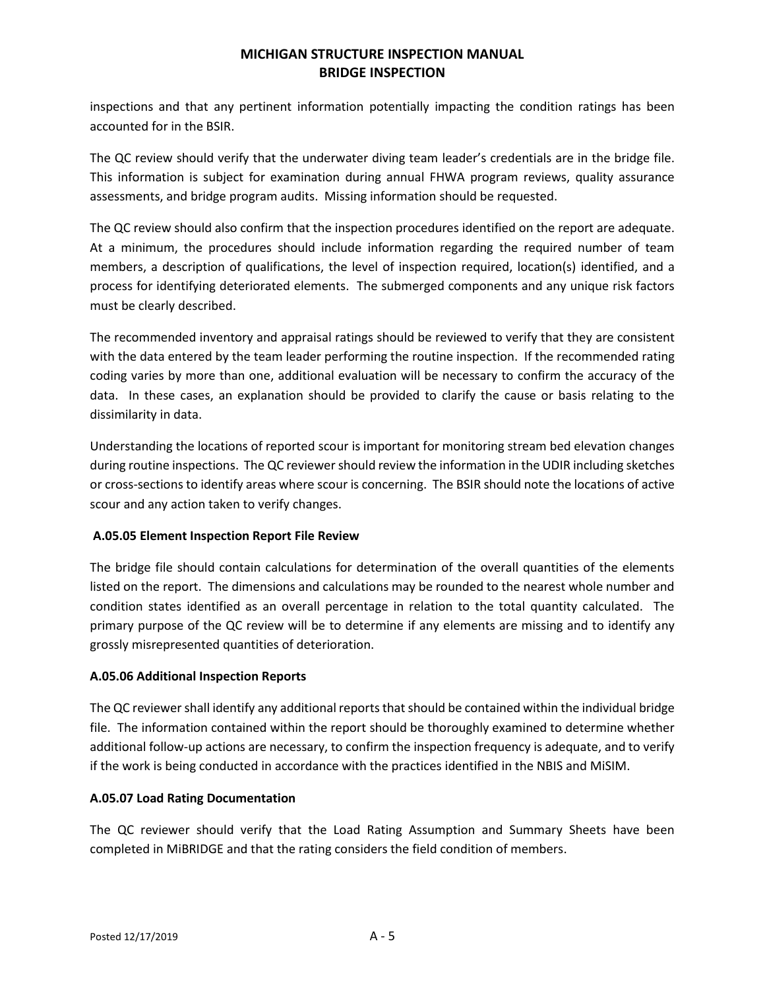# **MICHIGAN STRUCTURE INSPECTION MANUAL BRIDGE INSPECTION**

inspections and that any pertinent information potentially impacting the condition ratings has been accounted for in the BSIR.

The QC review should verify that the underwater diving team leader's credentials are in the bridge file. This information is subject for examination during annual FHWA program reviews, quality assurance assessments, and bridge program audits. Missing information should be requested.

The QC review should also confirm that the inspection procedures identified on the report are adequate. At a minimum, the procedures should include information regarding the required number of team members, a description of qualifications, the level of inspection required, location(s) identified, and a process for identifying deteriorated elements. The submerged components and any unique risk factors must be clearly described.

The recommended inventory and appraisal ratings should be reviewed to verify that they are consistent with the data entered by the team leader performing the routine inspection. If the recommended rating coding varies by more than one, additional evaluation will be necessary to confirm the accuracy of the data. In these cases, an explanation should be provided to clarify the cause or basis relating to the dissimilarity in data.

Understanding the locations of reported scour is important for monitoring stream bed elevation changes during routine inspections. The QC reviewer should review the information in the UDIR including sketches or cross-sections to identify areas where scour is concerning. The BSIR should note the locations of active scour and any action taken to verify changes.

# **A.05.05 Element Inspection Report File Review**

The bridge file should contain calculations for determination of the overall quantities of the elements listed on the report. The dimensions and calculations may be rounded to the nearest whole number and condition states identified as an overall percentage in relation to the total quantity calculated. The primary purpose of the QC review will be to determine if any elements are missing and to identify any grossly misrepresented quantities of deterioration.

# **A.05.06 Additional Inspection Reports**

The QC reviewer shall identify any additional reports that should be contained within the individual bridge file. The information contained within the report should be thoroughly examined to determine whether additional follow-up actions are necessary, to confirm the inspection frequency is adequate, and to verify if the work is being conducted in accordance with the practices identified in the NBIS and MiSIM.

#### **A.05.07 Load Rating Documentation**

The QC reviewer should verify that the Load Rating Assumption and Summary Sheets have been completed in MiBRIDGE and that the rating considers the field condition of members.